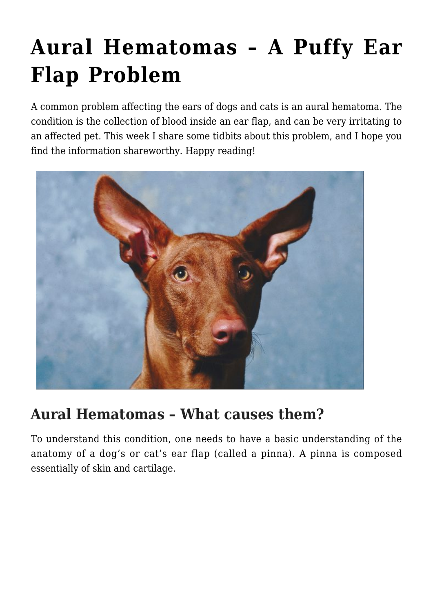# **[Aural Hematomas – A Puffy Ear](https://criticalcaredvm.com/aural-hematomas-ear-flap/) [Flap Problem](https://criticalcaredvm.com/aural-hematomas-ear-flap/)**

A common problem affecting the ears of dogs and cats is an aural hematoma. The condition is the collection of blood inside an ear flap, and can be very irritating to an affected pet. This week I share some tidbits about this problem, and I hope you find the information shareworthy. Happy reading!



#### **Aural Hematomas – What causes them?**

To understand this condition, one needs to have a basic understanding of the anatomy of a dog's or cat's ear flap (called a pinna). A pinna is composed essentially of skin and cartilage.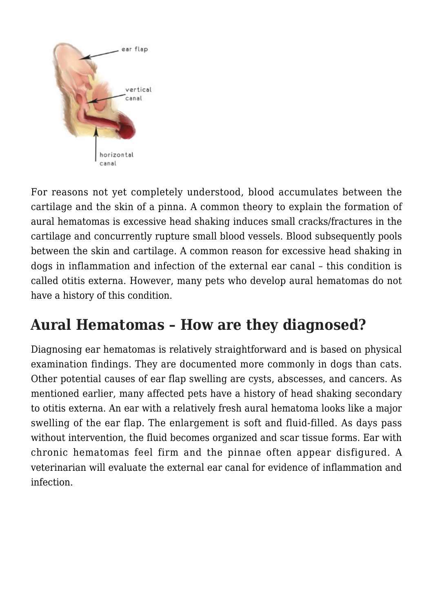

For reasons not yet completely understood, blood accumulates between the cartilage and the skin of a pinna. A common theory to explain the formation of aural hematomas is excessive head shaking induces small cracks/fractures in the cartilage and concurrently rupture small blood vessels. Blood subsequently pools between the skin and cartilage. A common reason for excessive head shaking in dogs in inflammation and infection of the external ear canal – this condition is called [otitis externa.](http://criticalcaredvm.com/otitis-externa-a-common-ear-problem-in-dogs/) However, many pets who develop aural hematomas do not have a history of this condition.

## **Aural Hematomas – How are they diagnosed?**

Diagnosing ear hematomas is relatively straightforward and is based on physical examination findings. They are documented more commonly in dogs than cats. Other potential causes of ear flap swelling are cysts, abscesses, and cancers. As mentioned earlier, many affected pets have a history of head shaking secondary to [otitis externa.](http://criticalcaredvm.com/otitis-externa-a-common-ear-problem-in-dogs/) An ear with a relatively fresh aural hematoma looks like a major swelling of the ear flap. The enlargement is soft and fluid-filled. As days pass without intervention, the fluid becomes organized and scar tissue forms. Ear with chronic hematomas feel firm and the pinnae often appear disfigured. A veterinarian will evaluate the external ear canal for evidence of inflammation and infection.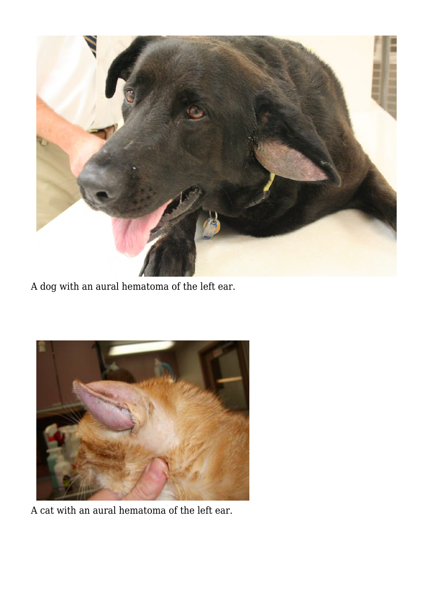

A dog with an aural hematoma of the left ear.



A cat with an aural hematoma of the left ear.